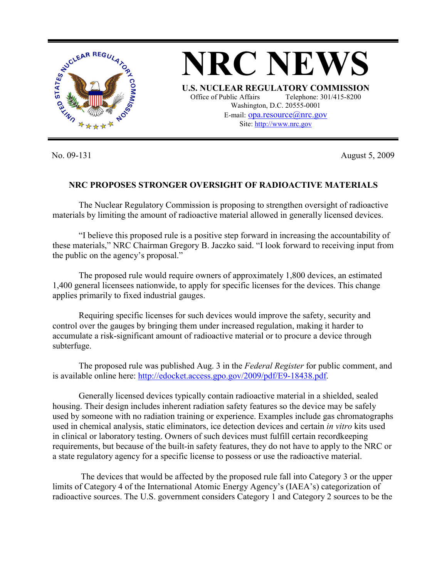

No. 09-131 August 5, 2009

## **NRC PROPOSES STRONGER OVERSIGHT OF RADIOACTIVE MATERIALS**

 The Nuclear Regulatory Commission is proposing to strengthen oversight of radioactive materials by limiting the amount of radioactive material allowed in generally licensed devices.

 "I believe this proposed rule is a positive step forward in increasing the accountability of these materials," NRC Chairman Gregory B. Jaczko said. "I look forward to receiving input from the public on the agency's proposal."

The proposed rule would require owners of approximately 1,800 devices, an estimated 1,400 general licensees nationwide, to apply for specific licenses for the devices. This change applies primarily to fixed industrial gauges.

 Requiring specific licenses for such devices would improve the safety, security and control over the gauges by bringing them under increased regulation, making it harder to accumulate a risk-significant amount of radioactive material or to procure a device through subterfuge.

 The proposed rule was published Aug. 3 in the *Federal Register* for public comment, and is available online here: http://edocket.access.gpo.gov/2009/pdf/E9-18438.pdf.

 Generally licensed devices typically contain radioactive material in a shielded, sealed housing. Their design includes inherent radiation safety features so the device may be safely used by someone with no radiation training or experience. Examples include gas chromatographs used in chemical analysis, static eliminators, ice detection devices and certain *in vitro* kits used in clinical or laboratory testing. Owners of such devices must fulfill certain recordkeeping requirements, but because of the built-in safety features, they do not have to apply to the NRC or a state regulatory agency for a specific license to possess or use the radioactive material.

 The devices that would be affected by the proposed rule fall into Category 3 or the upper limits of Category 4 of the International Atomic Energy Agency's (IAEA's) categorization of radioactive sources. The U.S. government considers Category 1 and Category 2 sources to be the